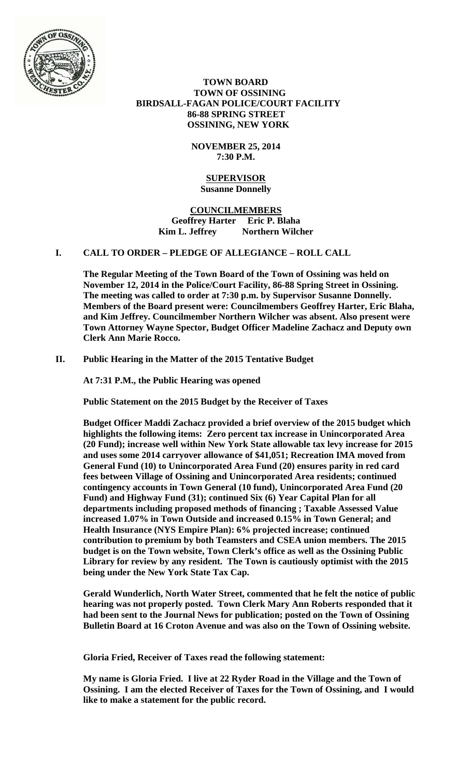

 **TOWN BOARD TOWN OF OSSINING BIRDSALL-FAGAN POLICE/COURT FACILITY 86-88 SPRING STREET OSSINING, NEW YORK** 

> **NOVEMBER 25, 2014 7:30 P.M.**

#### **SUPERVISOR Susanne Donnelly**

**COUNCILMEMBERS Geoffrey Harter Eric P. Blaha**  Kim L. Jeffrey Northern Wilcher

# **I. CALL TO ORDER – PLEDGE OF ALLEGIANCE – ROLL CALL**

**The Regular Meeting of the Town Board of the Town of Ossining was held on November 12, 2014 in the Police/Court Facility, 86-88 Spring Street in Ossining. The meeting was called to order at 7:30 p.m. by Supervisor Susanne Donnelly. Members of the Board present were: Councilmembers Geoffrey Harter, Eric Blaha, and Kim Jeffrey. Councilmember Northern Wilcher was absent. Also present were Town Attorney Wayne Spector, Budget Officer Madeline Zachacz and Deputy own Clerk Ann Marie Rocco.** 

# **II. Public Hearing in the Matter of the 2015 Tentative Budget**

**At 7:31 P.M., the Public Hearing was opened** 

**Public Statement on the 2015 Budget by the Receiver of Taxes** 

**Budget Officer Maddi Zachacz provided a brief overview of the 2015 budget which highlights the following items: Zero percent tax increase in Unincorporated Area (20 Fund); increase well within New York State allowable tax levy increase for 2015 and uses some 2014 carryover allowance of \$41,051; Recreation IMA moved from General Fund (10) to Unincorporated Area Fund (20) ensures parity in red card fees between Village of Ossining and Unincorporated Area residents; continued contingency accounts in Town General (10 fund), Unincorporated Area Fund (20 Fund) and Highway Fund (31); continued Six (6) Year Capital Plan for all departments including proposed methods of financing ; Taxable Assessed Value increased 1.07% in Town Outside and increased 0.15% in Town General; and Health Insurance (NYS Empire Plan): 6% projected increase; continued contribution to premium by both Teamsters and CSEA union members. The 2015 budget is on the Town website, Town Clerk's office as well as the Ossining Public Library for review by any resident. The Town is cautiously optimist with the 2015 being under the New York State Tax Cap.** 

**Gerald Wunderlich, North Water Street, commented that he felt the notice of public hearing was not properly posted. Town Clerk Mary Ann Roberts responded that it had been sent to the Journal News for publication; posted on the Town of Ossining Bulletin Board at 16 Croton Avenue and was also on the Town of Ossining website.** 

**Gloria Fried, Receiver of Taxes read the following statement:** 

**My name is Gloria Fried. I live at 22 Ryder Road in the Village and the Town of Ossining. I am the elected Receiver of Taxes for the Town of Ossining, and I would like to make a statement for the public record.**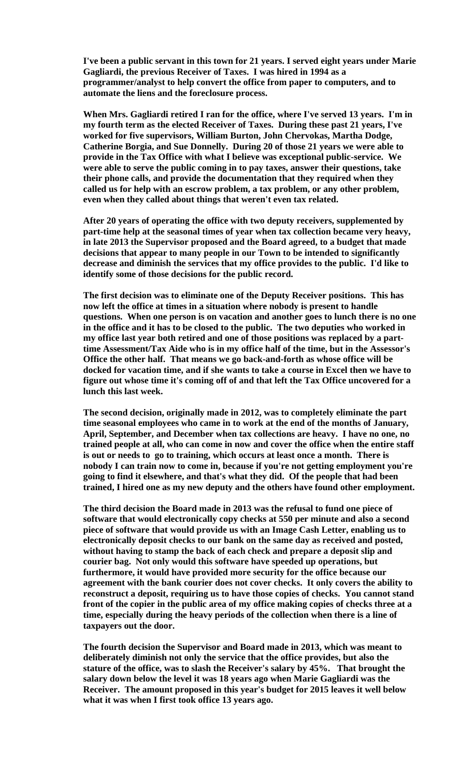**I've been a public servant in this town for 21 years. I served eight years under Marie Gagliardi, the previous Receiver of Taxes. I was hired in 1994 as a programmer/analyst to help convert the office from paper to computers, and to automate the liens and the foreclosure process.** 

**When Mrs. Gagliardi retired I ran for the office, where I've served 13 years. I'm in my fourth term as the elected Receiver of Taxes. During these past 21 years, I've worked for five supervisors, William Burton, John Chervokas, Martha Dodge, Catherine Borgia, and Sue Donnelly. During 20 of those 21 years we were able to provide in the Tax Office with what I believe was exceptional public-service. We were able to serve the public coming in to pay taxes, answer their questions, take their phone calls, and provide the documentation that they required when they called us for help with an escrow problem, a tax problem, or any other problem, even when they called about things that weren't even tax related.** 

**After 20 years of operating the office with two deputy receivers, supplemented by part-time help at the seasonal times of year when tax collection became very heavy, in late 2013 the Supervisor proposed and the Board agreed, to a budget that made decisions that appear to many people in our Town to be intended to significantly decrease and diminish the services that my office provides to the public. I'd like to identify some of those decisions for the public record.** 

**The first decision was to eliminate one of the Deputy Receiver positions. This has now left the office at times in a situation where nobody is present to handle questions. When one person is on vacation and another goes to lunch there is no one in the office and it has to be closed to the public. The two deputies who worked in my office last year both retired and one of those positions was replaced by a parttime Assessment/Tax Aide who is in my office half of the time, but in the Assessor's Office the other half. That means we go back-and-forth as whose office will be docked for vacation time, and if she wants to take a course in Excel then we have to figure out whose time it's coming off of and that left the Tax Office uncovered for a lunch this last week.** 

**The second decision, originally made in 2012, was to completely eliminate the part time seasonal employees who came in to work at the end of the months of January, April, September, and December when tax collections are heavy. I have no one, no trained people at all, who can come in now and cover the office when the entire staff is out or needs to go to training, which occurs at least once a month. There is nobody I can train now to come in, because if you're not getting employment you're going to find it elsewhere, and that's what they did. Of the people that had been trained, I hired one as my new deputy and the others have found other employment.** 

**The third decision the Board made in 2013 was the refusal to fund one piece of software that would electronically copy checks at 550 per minute and also a second piece of software that would provide us with an Image Cash Letter, enabling us to electronically deposit checks to our bank on the same day as received and posted, without having to stamp the back of each check and prepare a deposit slip and courier bag. Not only would this software have speeded up operations, but furthermore, it would have provided more security for the office because our agreement with the bank courier does not cover checks. It only covers the ability to reconstruct a deposit, requiring us to have those copies of checks. You cannot stand front of the copier in the public area of my office making copies of checks three at a time, especially during the heavy periods of the collection when there is a line of taxpayers out the door.** 

**The fourth decision the Supervisor and Board made in 2013, which was meant to deliberately diminish not only the service that the office provides, but also the stature of the office, was to slash the Receiver's salary by 45%. That brought the salary down below the level it was 18 years ago when Marie Gagliardi was the Receiver. The amount proposed in this year's budget for 2015 leaves it well below what it was when I first took office 13 years ago.**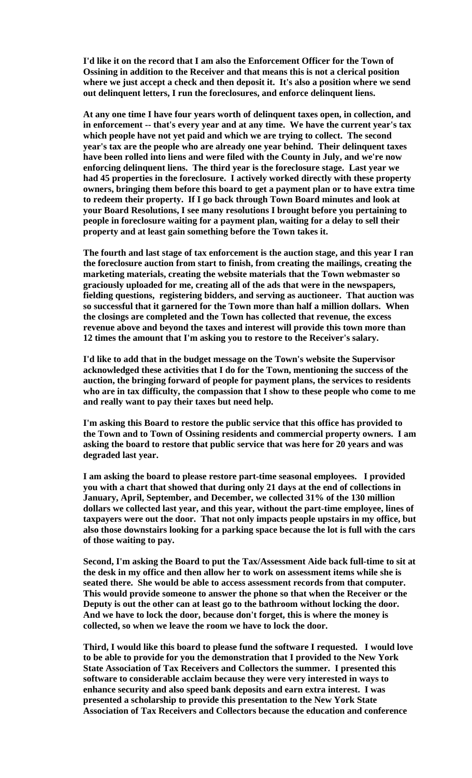**I'd like it on the record that I am also the Enforcement Officer for the Town of Ossining in addition to the Receiver and that means this is not a clerical position where we just accept a check and then deposit it. It's also a position where we send out delinquent letters, I run the foreclosures, and enforce delinquent liens.** 

**At any one time I have four years worth of delinquent taxes open, in collection, and in enforcement -- that's every year and at any time. We have the current year's tax which people have not yet paid and which we are trying to collect. The second year's tax are the people who are already one year behind. Their delinquent taxes have been rolled into liens and were filed with the County in July, and we're now enforcing delinquent liens. The third year is the foreclosure stage. Last year we had 45 properties in the foreclosure. I actively worked directly with these property owners, bringing them before this board to get a payment plan or to have extra time to redeem their property. If I go back through Town Board minutes and look at your Board Resolutions, I see many resolutions I brought before you pertaining to people in foreclosure waiting for a payment plan, waiting for a delay to sell their property and at least gain something before the Town takes it.** 

**The fourth and last stage of tax enforcement is the auction stage, and this year I ran the foreclosure auction from start to finish, from creating the mailings, creating the marketing materials, creating the website materials that the Town webmaster so graciously uploaded for me, creating all of the ads that were in the newspapers, fielding questions, registering bidders, and serving as auctioneer. That auction was so successful that it garnered for the Town more than half a million dollars. When the closings are completed and the Town has collected that revenue, the excess revenue above and beyond the taxes and interest will provide this town more than 12 times the amount that I'm asking you to restore to the Receiver's salary.** 

**I'd like to add that in the budget message on the Town's website the Supervisor acknowledged these activities that I do for the Town, mentioning the success of the auction, the bringing forward of people for payment plans, the services to residents who are in tax difficulty, the compassion that I show to these people who come to me and really want to pay their taxes but need help.** 

**I'm asking this Board to restore the public service that this office has provided to the Town and to Town of Ossining residents and commercial property owners. I am asking the board to restore that public service that was here for 20 years and was degraded last year.** 

**I am asking the board to please restore part-time seasonal employees. I provided you with a chart that showed that during only 21 days at the end of collections in January, April, September, and December, we collected 31% of the 130 million dollars we collected last year, and this year, without the part-time employee, lines of taxpayers were out the door. That not only impacts people upstairs in my office, but also those downstairs looking for a parking space because the lot is full with the cars of those waiting to pay.** 

**Second, I'm asking the Board to put the Tax/Assessment Aide back full-time to sit at the desk in my office and then allow her to work on assessment items while she is seated there. She would be able to access assessment records from that computer. This would provide someone to answer the phone so that when the Receiver or the Deputy is out the other can at least go to the bathroom without locking the door. And we have to lock the door, because don't forget, this is where the money is collected, so when we leave the room we have to lock the door.** 

**Third, I would like this board to please fund the software I requested. I would love to be able to provide for you the demonstration that I provided to the New York State Association of Tax Receivers and Collectors the summer. I presented this software to considerable acclaim because they were very interested in ways to enhance security and also speed bank deposits and earn extra interest. I was presented a scholarship to provide this presentation to the New York State Association of Tax Receivers and Collectors because the education and conference**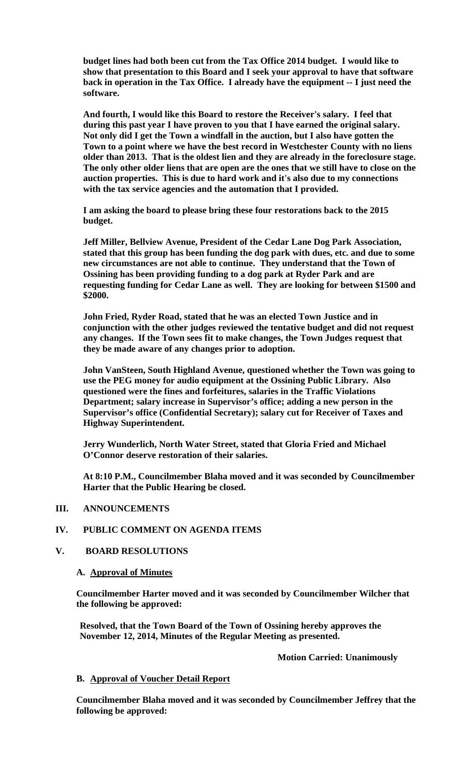**budget lines had both been cut from the Tax Office 2014 budget. I would like to show that presentation to this Board and I seek your approval to have that software back in operation in the Tax Office. I already have the equipment -- I just need the software.** 

**And fourth, I would like this Board to restore the Receiver's salary. I feel that during this past year I have proven to you that I have earned the original salary. Not only did I get the Town a windfall in the auction, but I also have gotten the Town to a point where we have the best record in Westchester County with no liens older than 2013. That is the oldest lien and they are already in the foreclosure stage. The only other older liens that are open are the ones that we still have to close on the auction properties. This is due to hard work and it's also due to my connections with the tax service agencies and the automation that I provided.** 

**I am asking the board to please bring these four restorations back to the 2015 budget.** 

**Jeff Miller, Bellview Avenue, President of the Cedar Lane Dog Park Association, stated that this group has been funding the dog park with dues, etc. and due to some new circumstances are not able to continue. They understand that the Town of Ossining has been providing funding to a dog park at Ryder Park and are requesting funding for Cedar Lane as well. They are looking for between \$1500 and \$2000.** 

**John Fried, Ryder Road, stated that he was an elected Town Justice and in conjunction with the other judges reviewed the tentative budget and did not request any changes. If the Town sees fit to make changes, the Town Judges request that they be made aware of any changes prior to adoption.** 

**John VanSteen, South Highland Avenue, questioned whether the Town was going to use the PEG money for audio equipment at the Ossining Public Library. Also questioned were the fines and forfeitures, salaries in the Traffic Violations Department; salary increase in Supervisor's office; adding a new person in the Supervisor's office (Confidential Secretary); salary cut for Receiver of Taxes and Highway Superintendent.** 

**Jerry Wunderlich, North Water Street, stated that Gloria Fried and Michael O'Connor deserve restoration of their salaries.** 

**At 8:10 P.M., Councilmember Blaha moved and it was seconded by Councilmember Harter that the Public Hearing be closed.**

**III. ANNOUNCEMENTS** 

## **IV. PUBLIC COMMENT ON AGENDA ITEMS**

### **V. BOARD RESOLUTIONS**

#### **A. Approval of Minutes**

**Councilmember Harter moved and it was seconded by Councilmember Wilcher that the following be approved:** 

**Resolved, that the Town Board of the Town of Ossining hereby approves the November 12, 2014, Minutes of the Regular Meeting as presented.** 

 **Motion Carried: Unanimously** 

#### **B. Approval of Voucher Detail Report**

**Councilmember Blaha moved and it was seconded by Councilmember Jeffrey that the following be approved:**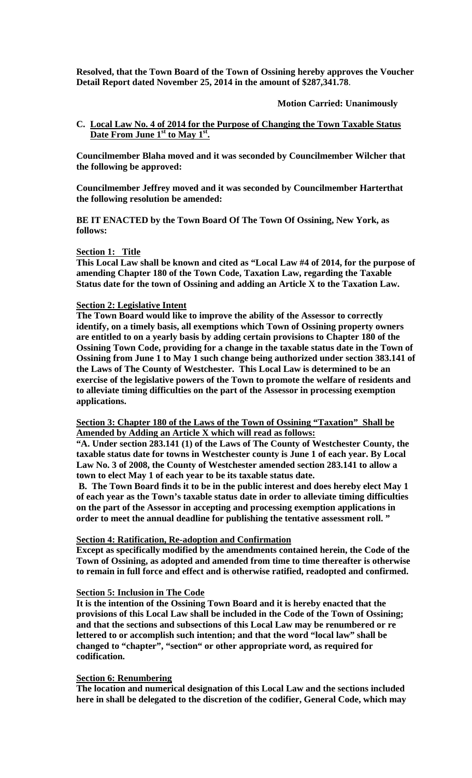**Resolved, that the Town Board of the Town of Ossining hereby approves the Voucher Detail Report dated November 25, 2014 in the amount of \$287,341.78**.

**Motion Carried: Unanimously**

## **C. Local Law No. 4 of 2014 for the Purpose of Changing the Town Taxable Status Date From June 1st to May 1st.**

**Councilmember Blaha moved and it was seconded by Councilmember Wilcher that the following be approved:** 

**Councilmember Jeffrey moved and it was seconded by Councilmember Harterthat the following resolution be amended:** 

**BE IT ENACTED by the Town Board Of The Town Of Ossining, New York, as follows:** 

### **Section 1: Title**

**This Local Law shall be known and cited as "Local Law #4 of 2014, for the purpose of amending Chapter 180 of the Town Code, Taxation Law, regarding the Taxable Status date for the town of Ossining and adding an Article X to the Taxation Law.** 

### **Section 2: Legislative Intent**

**The Town Board would like to improve the ability of the Assessor to correctly identify, on a timely basis, all exemptions which Town of Ossining property owners are entitled to on a yearly basis by adding certain provisions to Chapter 180 of the Ossining Town Code, providing for a change in the taxable status date in the Town of Ossining from June 1 to May 1 such change being authorized under section 383.141 of the Laws of The County of Westchester. This Local Law is determined to be an exercise of the legislative powers of the Town to promote the welfare of residents and to alleviate timing difficulties on the part of the Assessor in processing exemption applications.** 

**Section 3: Chapter 180 of the Laws of the Town of Ossining "Taxation" Shall be Amended by Adding an Article X which will read as follows:**

**"A. Under section 283.141 (1) of the Laws of The County of Westchester County, the taxable status date for towns in Westchester county is June 1 of each year. By Local Law No. 3 of 2008, the County of Westchester amended section 283.141 to allow a town to elect May 1 of each year to be its taxable status date.** 

 **B. The Town Board finds it to be in the public interest and does hereby elect May 1 of each year as the Town's taxable status date in order to alleviate timing difficulties on the part of the Assessor in accepting and processing exemption applications in order to meet the annual deadline for publishing the tentative assessment roll. "** 

## **Section 4: Ratification, Re-adoption and Confirmation**

**Except as specifically modified by the amendments contained herein, the Code of the Town of Ossining, as adopted and amended from time to time thereafter is otherwise to remain in full force and effect and is otherwise ratified, readopted and confirmed.** 

#### **Section 5: Inclusion in The Code**

**It is the intention of the Ossining Town Board and it is hereby enacted that the provisions of this Local Law shall be included in the Code of the Town of Ossining; and that the sections and subsections of this Local Law may be renumbered or re lettered to or accomplish such intention; and that the word "local law" shall be changed to "chapter", "section" or other appropriate word, as required for codification.** 

## **Section 6: Renumbering**

**The location and numerical designation of this Local Law and the sections included here in shall be delegated to the discretion of the codifier, General Code, which may**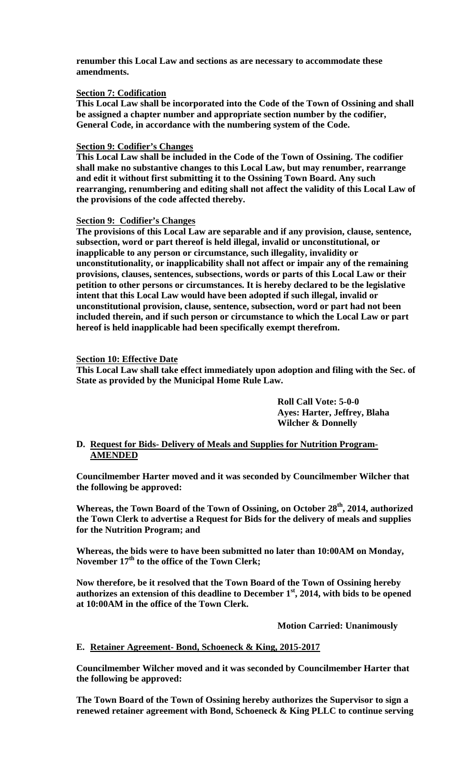**renumber this Local Law and sections as are necessary to accommodate these amendments.** 

### **Section 7: Codification**

**This Local Law shall be incorporated into the Code of the Town of Ossining and shall be assigned a chapter number and appropriate section number by the codifier, General Code, in accordance with the numbering system of the Code.** 

### **Section 9: Codifier's Changes**

**This Local Law shall be included in the Code of the Town of Ossining. The codifier shall make no substantive changes to this Local Law, but may renumber, rearrange and edit it without first submitting it to the Ossining Town Board. Any such rearranging, renumbering and editing shall not affect the validity of this Local Law of the provisions of the code affected thereby.** 

#### **Section 9: Codifier's Changes**

**The provisions of this Local Law are separable and if any provision, clause, sentence, subsection, word or part thereof is held illegal, invalid or unconstitutional, or inapplicable to any person or circumstance, such illegality, invalidity or unconstitutionality, or inapplicability shall not affect or impair any of the remaining provisions, clauses, sentences, subsections, words or parts of this Local Law or their petition to other persons or circumstances. It is hereby declared to be the legislative intent that this Local Law would have been adopted if such illegal, invalid or unconstitutional provision, clause, sentence, subsection, word or part had not been included therein, and if such person or circumstance to which the Local Law or part hereof is held inapplicable had been specifically exempt therefrom.** 

### **Section 10: Effective Date**

**This Local Law shall take effect immediately upon adoption and filing with the Sec. of State as provided by the Municipal Home Rule Law.** 

> **Roll Call Vote: 5-0-0 Ayes: Harter, Jeffrey, Blaha Wilcher & Donnelly**

## **D. Request for Bids- Delivery of Meals and Supplies for Nutrition Program-AMENDED**

**Councilmember Harter moved and it was seconded by Councilmember Wilcher that the following be approved:** 

Whereas, the Town Board of the Town of Ossining, on October 28<sup>th</sup>, 2014, authorized **the Town Clerk to advertise a Request for Bids for the delivery of meals and supplies for the Nutrition Program; and** 

**Whereas, the bids were to have been submitted no later than 10:00AM on Monday,**  November 17<sup>th</sup> to the office of the Town Clerk;

**Now therefore, be it resolved that the Town Board of the Town of Ossining hereby authorizes an extension of this deadline to December 1st, 2014, with bids to be opened at 10:00AM in the office of the Town Clerk.** 

 **Motion Carried: Unanimously** 

## **E. Retainer Agreement- Bond, Schoeneck & King, 2015-2017**

**Councilmember Wilcher moved and it was seconded by Councilmember Harter that the following be approved:** 

**The Town Board of the Town of Ossining hereby authorizes the Supervisor to sign a renewed retainer agreement with Bond, Schoeneck & King PLLC to continue serving**